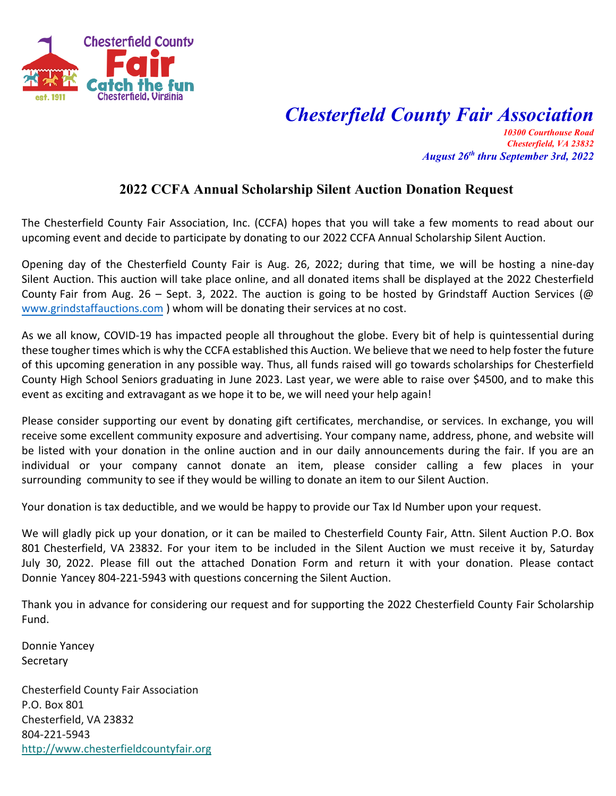

## *Chesterfield County Fair Association*

*10300 Courthouse Road Chesterfield, VA 23832 August 26th thru September 3rd, 2022* 

## **2022 CCFA Annual Scholarship Silent Auction Donation Request**

The Chesterfield County Fair Association, Inc. (CCFA) hopes that you will take a few moments to read about our upcoming event and decide to participate by donating to our 2022 CCFA Annual Scholarship Silent Auction.

Opening day of the Chesterfield County Fair is Aug. 26, 2022; during that time, we will be hosting a nine-day Silent Auction. This auction will take place online, and all donated items shall be displayed at the 2022 Chesterfield County Fair from Aug. 26 – Sept. 3, 2022. The auction is going to be hosted by Grindstaff Auction Services (@ [www.grindstaffauctions.com](http://www.grindstaffauctions.com/) ) whom will be donating their services at no cost.

As we all know, COVID-19 has impacted people all throughout the globe. Every bit of help is quintessential during these tougher times which is why the CCFA established this Auction. We believe that we need to help foster the future of this upcoming generation in any possible way. Thus, all funds raised will go towards scholarships for Chesterfield County High School Seniors graduating in June 2023. Last year, we were able to raise over \$4500, and to make this event as exciting and extravagant as we hope it to be, we will need your help again!

Please consider supporting our event by donating gift certificates, merchandise, or services. In exchange, you will receive some excellent community exposure and advertising. Your company name, address, phone, and website will be listed with your donation in the online auction and in our daily announcements during the fair. If you are an individual or your company cannot donate an item, please consider calling a few places in your surrounding community to see if they would be willing to donate an item to our Silent Auction.

Your donation is tax deductible, and we would be happy to provide our Tax Id Number upon your request.

We will gladly pick up your donation, or it can be mailed to Chesterfield County Fair, Attn. Silent Auction P.O. Box 801 Chesterfield, VA 23832. For your item to be included in the Silent Auction we must receive it by, Saturday July 30, 2022. Please fill out the attached Donation Form and return it with your donation. Please contact Donnie Yancey 804-221-5943 with questions concerning the Silent Auction.

Thank you in advance for considering our request and for supporting the 2022 Chesterfield County Fair Scholarship Fund.

Donnie Yancey **Secretary** 

Chesterfield County Fair Association P.O. Box 801 Chesterfield, VA 23832 804-221-5943 [http://www.chesterfieldcountyfair.org](http://www.chesterfieldcountyfair.org/)